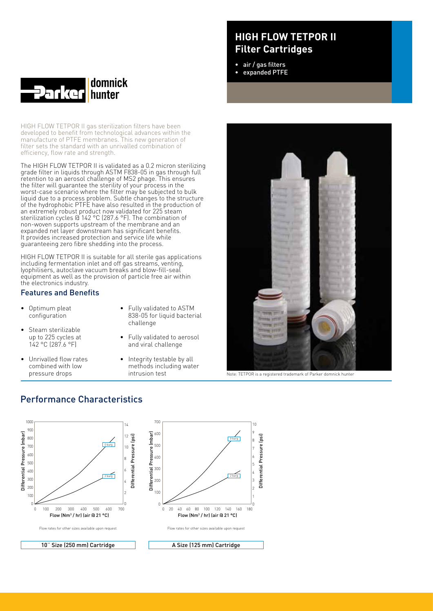

HIGH FLOW TETPOR II gas sterilization filters have been developed to benefit from technological advances within the manufacture of PTFE membranes. This new generation of filter sets the standard with an unrivalled combination of efficiency, flow rate and strength.

The HIGH FLOW TETPOR II is validated as a 0.2 micron sterilizing grade filter in liquids through ASTM F838-05 in gas through full retention to an aerosol challenge of MS2 phage. This ensures the filter will guarantee the sterility of your process in the worst-case scenario where the filter may be subjected to bulk liquid due to a process problem. Subtle changes to the structure of the hydrophobic PTFE have also resulted in the production of an extremely robust product now validated for 225 steam sterilization cycles @ 142 °C (287.6 °F). The combination of non-woven supports upstream of the membrane and an expanded net layer downstream has significant benefits. It provides increased protection and service life while guaranteeing zero fibre shedding into the process.

HIGH FLOW TETPOR II is suitable for all sterile gas applications including fermentation inlet and off gas streams, venting, lyophilisers, autoclave vacuum breaks and blow-fill-seal equipment as well as the provision of particle free air within the electronics industry.

#### Features and Benefits

- • Optimum pleat configuration
- Steam sterilizable up to 225 cycles at 142 °C (287.6 °F)
- Unrivalled flow rates combined with low pressure drops
- • Fully validated to ASTM 838-05 for liquid bacterial challenge
- • Fully validated to aerosol and viral challenge
- Integrity testable by all methods including water intrusion test

## **HIGH FLOW TETPOR II Filter Cartridges**

- • air / gas filters
- expanded PTFE



Note: TETPOR is a registered trademark of Parker domnick hunter

### Performance Characteristics